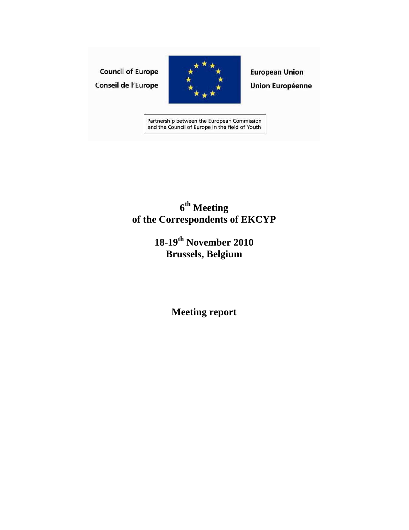# **Council of Europe** Conseil de l'Europe



**European Union Union Européenne** 

Partnership between the European Commission and the Council of Europe in the field of Youth

# **6 th Meeting of the Correspondents of EKCYP**

# **18-19th November 2010 Brussels, Belgium**

**Meeting report**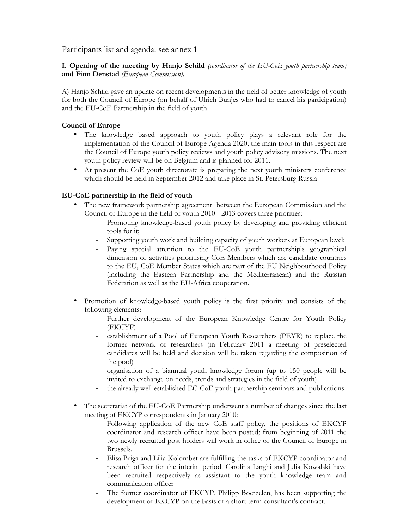Participants list and agenda: see annex 1

**I. Opening of the meeting by Hanjo Schild** *(coordinator of the EU-CoE youth partnership team)* **and Finn Denstad** *(European Commission)***.**

A) Hanjo Schild gave an update on recent developments in the field of better knowledge of youth for both the Council of Europe (on behalf of Ulrich Bunjes who had to cancel his participation) and the EU-CoE Partnership in the field of youth.

# **Council of Europe**

- The knowledge based approach to youth policy plays a relevant role for the implementation of the Council of Europe Agenda 2020; the main tools in this respect are the Council of Europe youth policy reviews and youth policy advisory missions. The next youth policy review will be on Belgium and is planned for 2011.
- At present the CoE youth directorate is preparing the next youth ministers conference which should be held in September 2012 and take place in St. Petersburg Russia

# **EU-CoE partnership in the field of youth**

- The new framework partnership agreement between the European Commission and the Council of Europe in the field of youth 2010 - 2013 covers three priorities:
	- Promoting knowledge-based youth policy by developing and providing efficient tools for it;
	- Supporting youth work and building capacity of youth workers at European level;
	- Paying special attention to the EU-CoE youth partnership's geographical dimension of activities prioritising CoE Members which are candidate countries to the EU, CoE Member States which are part of the EU Neighbourhood Policy (including the Eastern Partnership and the Mediterranean) and the Russian Federation as well as the EU-Africa cooperation.
- Promotion of knowledge-based youth policy is the first priority and consists of the following elements:
	- Further development of the European Knowledge Centre for Youth Policy (EKCYP)
	- establishment of a Pool of European Youth Researchers (PEYR) to replace the former network of researchers (in February 2011 a meeting of preselected candidates will be held and decision will be taken regarding the composition of the pool)
	- organisation of a biannual youth knowledge forum (up to 150 people will be invited to exchange on needs, trends and strategies in the field of youth)
	- the already well established EC-CoE youth partnership seminars and publications
- The secretariat of the EU-CoE Partnership underwent a number of changes since the last meeting of EKCYP correspondents in January 2010:
	- Following application of the new CoE staff policy, the positions of EKCYP coordinator and research officer have been posted; from beginning of 2011 the two newly recruited post holders will work in office of the Council of Europe in Brussels.
	- Elisa Briga and Lilia Kolombet are fulfilling the tasks of EKCYP coordinator and research officer for the interim period. Carolina Larghi and Julia Kowalski have been recruited respectively as assistant to the youth knowledge team and communication officer
	- The former coordinator of EKCYP, Philipp Boetzelen, has been supporting the development of EKCYP on the basis of a short term consultant's contract.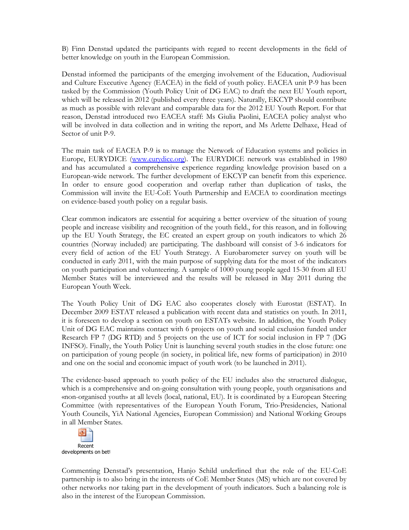B) Finn Denstad updated the participants with regard to recent developments in the field of better knowledge on youth in the European Commission.

Denstad informed the participants of the emerging involvement of the Education, Audiovisual and Culture Executive Agency (EACEA) in the field of youth policy. EACEA unit P-9 has been tasked by the Commission (Youth Policy Unit of DG EAC) to draft the next EU Youth report, which will be released in 2012 (published every three years). Naturally, EKCYP should contribute as much as possible with relevant and comparable data for the 2012 EU Youth Report. For that reason, Denstad introduced two EACEA staff: Ms Giulia Paolini, EACEA policy analyst who will be involved in data collection and in writing the report, and Ms Arlette Delhaxe, Head of Sector of unit P-9.

The main task of EACEA P-9 is to manage the Network of Education systems and policies in Europe, EURYDICE [\(www.eurydice.org\).](www.eurydice.org) The EURYDICE network was established in 1980 and has accumulated a comprehensive experience regarding knowledge provision based on a European-wide network. The further development of EKCYP can benefit from this experience. In order to ensure good cooperation and overlap rather than duplication of tasks, the Commission will invite the EU-CoE Youth Partnership and EACEA to coordination meetings on evidence-based youth policy on a regular basis.

Clear common indicators are essential for acquiring a better overview of the situation of young people and increase visibility and recognition of the youth field., for this reason, and in following up the EU Youth Strategy, the EC created an expert group on youth indicators to which 26 countries (Norway included) are participating. The dashboard will consist of 3-6 indicators for every field of action of the EU Youth Strategy. A Eurobarometer survey on youth will be conducted in early 2011, with the main purpose of supplying data for the most of the indicators on youth participation and volunteering. A sample of 1000 young people aged 15-30 from all EU Member States will be interviewed and the results will be released in May 2011 during the European Youth Week.

The Youth Policy Unit of DG EAC also cooperates closely with Eurostat (ESTAT). In December 2009 ESTAT released a publication with recent data and statistics on youth. In 2011, it is foreseen to develop a section on youth on ESTATs website. In addition, the Youth Policy Unit of DG EAC maintains contact with 6 projects on youth and social exclusion funded under Research FP 7 (DG RTD) and 5 projects on the use of ICT for social inclusion in FP 7 (DG INFSO). Finally, the Youth Policy Unit is launching several youth studies in the close future: one on participation of young people (in society, in political life, new forms of participation) in 2010 and one on the social and economic impact of youth work (to be launched in 2011).

The evidence-based approach to youth policy of the EU includes also the structured dialogue, which is a comprehensive and on-going consultation with young people, youth organisations and «non-organised youth» at all levels (local, national, EU). It is coordinated by a European Steering Committee (with representatives of the European Youth Forum, Trio-Presidencies, National Youth Councils, YiA National Agencies, European Commission) and National Working Groups in all Member States.



Commenting Denstad's presentation, Hanjo Schild underlined that the role of the EU-CoE partnership is to also bring in the interests of CoE Member States (MS) which are not covered by other networks nor taking part in the development of youth indicators. Such a balancing role is also in the interest of the European Commission.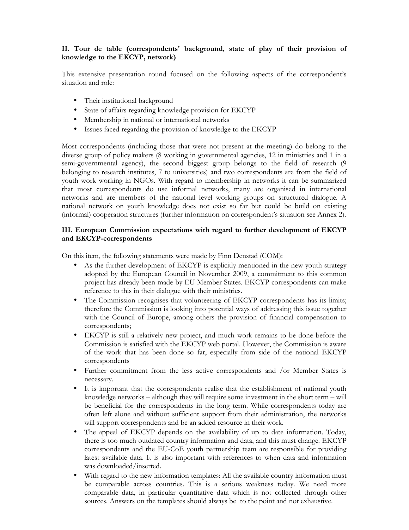# **II. Tour de table (correspondents' background, state of play of their provision of knowledge to the EKCYP, network)**

This extensive presentation round focused on the following aspects of the correspondent's situation and role:

- Their institutional background
- State of affairs regarding knowledge provision for EKCYP
- Membership in national or international networks
- Issues faced regarding the provision of knowledge to the EKCYP

Most correspondents (including those that were not present at the meeting) do belong to the diverse group of policy makers (8 working in governmental agencies, 12 in ministries and 1 in a semi-governmental agency), the second biggest group belongs to the field of research (9 belonging to research institutes, 7 to universities) and two correspondents are from the field of youth work working in NGOs. With regard to membership in networks it can be summarized that most correspondents do use informal networks, many are organised in international networks and are members of the national level working groups on structured dialogue. A national network on youth knowledge does not exist so far but could be build on existing (informal) cooperation structures (further information on correspondent's situation see Annex 2).

### **III. European Commission expectations with regard to further development of EKCYP and EKCYP-correspondents**

On this item, the following statements were made by Finn Denstad (COM):

- As the further development of EKCYP is explicitly mentioned in the new youth strategy adopted by the European Council in November 2009, a commitment to this common project has already been made by EU Member States. EKCYP correspondents can make reference to this in their dialogue with their ministries.
- The Commission recognises that volunteering of EKCYP correspondents has its limits; therefore the Commission is looking into potential ways of addressing this issue together with the Council of Europe, among others the provision of financial compensation to correspondents;
- EKCYP is still a relatively new project, and much work remains to be done before the Commission is satisfied with the EKCYP web portal. However, the Commission is aware of the work that has been done so far, especially from side of the national EKCYP correspondents
- Further commitment from the less active correspondents and /or Member States is necessary.
- It is important that the correspondents realise that the establishment of national youth knowledge networks – although they will require some investment in the short term – will be beneficial for the correspondents in the long term. While correspondents today are often left alone and without sufficient support from their administration, the networks will support correspondents and be an added resource in their work.
- The appeal of EKCYP depends on the availability of up to date information. Today, there is too much outdated country information and data, and this must change. EKCYP correspondents and the EU-CoE youth partnership team are responsible for providing latest available data. It is also important with references to when data and information was downloaded/inserted.
- With regard to the new information templates: All the available country information must be comparable across countries. This is a serious weakness today. We need more comparable data, in particular quantitative data which is not collected through other sources. Answers on the templates should always be to the point and not exhaustive.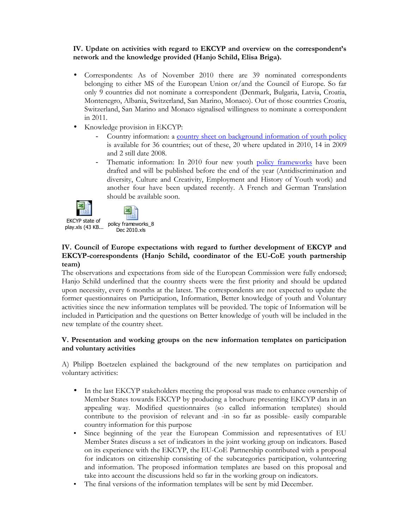# **IV. Update on activities with regard to EKCYP and overview on the correspondent's network and the knowledge provided (Hanjo Schild, Elisa Briga).**

- Correspondents: As of November 2010 there are 39 nominated correspondents belonging to either MS of the European Union or/and the Council of Europe. So far only 9 countries did not nominate a correspondent (Denmark, Bulgaria, Latvia, Croatia, Montenegro, Albania, Switzerland, San Marino, Monaco). Out of those countries Croatia, Switzerland, San Marino and Monaco signalised willingness to nominate a correspondent in 2011.
- Knowledge provision in EKCYP:
	- Country information: a [country sheet on background information of youth policy](http://youth-partnership-eu.coe.int/youth-partnership/ekcyp/Country_2007.html) is available for 36 countries; out of these, 20 where updated in 2010, 14 in 2009 and 2 still date 2008.
	- Thematic information: In 2010 four new youth [policy frameworks](http://youth-partnership-eu.coe.int/youth-partnership/ekcyp/youthpolicy.html) have been drafted and will be published before the end of the year (Antidiscrimination and diversity, Culture and Creativity, Employment and History of Youth work) and another four have been updated recently. A French and German Translation should be available soon.





EKCYP state of

[play.xls \(43 KB...](http://youth-partnership-eu.coe.int/youth-partnership/documents/EKCYP/EKCYP_state_of_play.pdf) policy frameworks\_8 Dec 2010.xls

# **IV. Council of Europe expectations with regard to further development of EKCYP and EKCYP-correspondents (Hanjo Schild, coordinator of the EU-CoE youth partnership team)**

The observations and expectations from side of the European Commission were fully endorsed; Hanjo Schild underlined that the country sheets were the first priority and should be updated upon necessity, every 6 months at the latest. The correspondents are not expected to update the former questionnaires on Participation, Information, Better knowledge of youth and Voluntary activities since the new information templates will be provided. The topic of Information will be included in Participation and the questions on Better knowledge of youth will be included in the new template of the country sheet.

# **V. Presentation and working groups on the new information templates on participation and voluntary activities**

A) Philipp Boetzelen explained the background of the new templates on participation and voluntary activities:

- In the last EKCYP stakeholders meeting the proposal was made to enhance ownership of Member States towards EKCYP by producing a brochure presenting EKCYP data in an appealing way. Modified questionnaires (so called information templates) should contribute to the provision of relevant and -in so far as possible- easily comparable country information for this purpose
- Since beginning of the year the European Commission and representatives of EU Member States discuss a set of indicators in the joint working group on indicators. Based on its experience with the EKCYP, the EU-CoE Partnership contributed with a proposal for indicators on citizenship consisting of the subcategories participation, volunteering and information. The proposed information templates are based on this proposal and take into account the discussions held so far in the working group on indicators.
- The final versions of the information templates will be sent by mid December.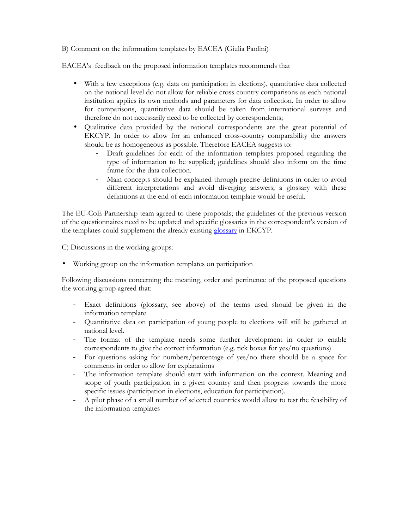B) Comment on the information templates by EACEA (Giulia Paolini)

EACEA's feedback on the proposed information templates recommends that

- With a few exceptions (e.g. data on participation in elections), quantitative data collected on the national level do not allow for reliable cross country comparisons as each national institution applies its own methods and parameters for data collection. In order to allow for comparisons, quantitative data should be taken from international surveys and therefore do not necessarily need to be collected by correspondents;
- Qualitative data provided by the national correspondents are the great potential of EKCYP. In order to allow for an enhanced cross-country comparability the answers should be as homogeneous as possible. Therefore EACEA suggests to:
	- Draft guidelines for each of the information templates proposed regarding the type of information to be supplied; guidelines should also inform on the time frame for the data collection.
	- Main concepts should be explained through precise definitions in order to avoid different interpretations and avoid diverging answers; a glossary with these definitions at the end of each information template would be useful.

The EU-CoE Partnership team agreed to these proposals; the guidelines of the previous version of the questionnaires need to be updated and specific glossaries in the correspondent's version of the templates could supplement the already existing [glossary i](http://youth-partnership-eu.coe.int/youth-partnership/glossary.html)n EKCYP.

C) Discussions in the working groups:

• Working group on the information templates on participation

Following discussions concerning the meaning, order and pertinence of the proposed questions the working group agreed that:

- Exact definitions (glossary, see above) of the terms used should be given in the information template
- Quantitative data on participation of young people to elections will still be gathered at national level.
- The format of the template needs some further development in order to enable correspondents to give the correct information (e.g. tick boxes for yes/no questions)
- For questions asking for numbers/percentage of yes/no there should be a space for comments in order to allow for explanations
- The information template should start with information on the context. Meaning and scope of youth participation in a given country and then progress towards the more specific issues (participation in elections, education for participation).
- A pilot phase of a small number of selected countries would allow to test the feasibility of the information templates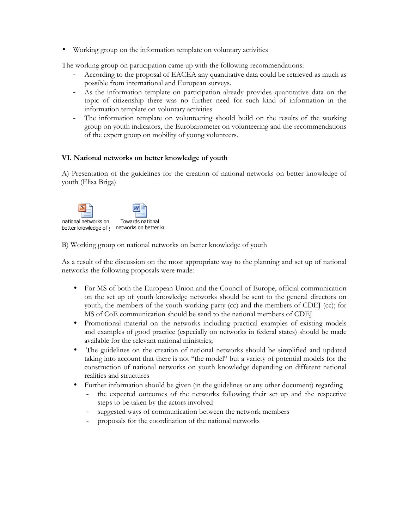• Working group on the information template on voluntary activities

The working group on participation came up with the following recommendations:

- According to the proposal of EACEA any quantitative data could be retrieved as much as possible from international and European surveys.
- As the information template on participation already provides quantitative data on the topic of citizenship there was no further need for such kind of information in the information template on voluntary activities
- The information template on volunteering should build on the results of the working group on youth indicators, the Eurobarometer on volunteering and the recommendations of the expert group on mobility of young volunteers.

# **VI. National networks on better knowledge of youth**

A) Presentation of the guidelines for the creation of national networks on better knowledge of youth (Elisa Briga)



B) Working group on national networks on better knowledge of youth

As a result of the discussion on the most appropriate way to the planning and set up of national networks the following proposals were made:

- For MS of both the European Union and the Council of Europe, official communication on the set up of youth knowledge networks should be sent to the general directors on youth, the members of the youth working party (cc) and the members of CDEJ (cc); for MS of CoE communication should be send to the national members of CDEJ
- Promotional material on the networks including practical examples of existing models and examples of good practice (especially on networks in federal states) should be made available for the relevant national ministries;
- The guidelines on the creation of national networks should be simplified and updated taking into account that there is not "the model" but a variety of potential models for the construction of national networks on youth knowledge depending on different national realities and structures
- Further information should be given (in the guidelines or any other document) regarding
	- the expected outcomes of the networks following their set up and the respective steps to be taken by the actors involved
	- suggested ways of communication between the network members
	- proposals for the coordination of the national networks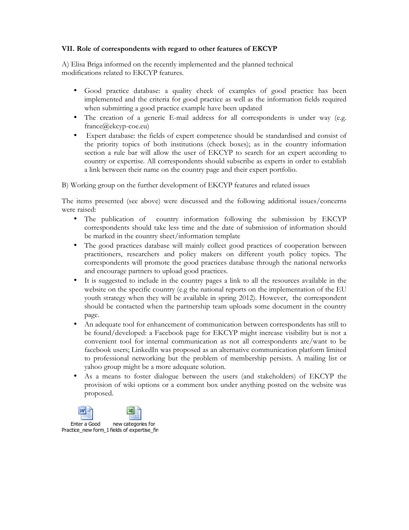### **VII. Role of correspondents with regard to other features of EKCYP**

A) Elisa Briga informed on the recently implemented and the planned technical modifications related to EKCYP features.

- Good practice database: a quality check of examples of good practice has been implemented and the criteria for good practice as well as the information fields required when submitting a good practice example have been updated
- The creation of a generic E-mail address for all correspondents is under way (e.g. france@ekcyp-coe.eu)
- Expert database: the fields of expert competence should be standardised and consist of the priority topics of both institutions (check boxes); as in the country information section a rule bar will allow the user of EKCYP to search for an expert according to country or expertise. All correspondents should subscribe as experts in order to establish a link between their name on the country page and their expert portfolio.

B) Working group on the further development of EKCYP features and related issues

The items presented (see above) were discussed and the following additional issues/concerns were raised:

- The publication of country information following the submission by EKCYP correspondents should take less time and the date of submission of information should be marked in the country sheet/information template
- The good practices database will mainly collect good practices of cooperation between practitioners, researchers and policy makers on different youth policy topics. The correspondents will promote the good practices database through the national networks and encourage partners to upload good practices.
- It is suggested to include in the country pages a link to all the resources available in the website on the specific country (e.g the national reports on the implementation of the EU youth strategy when they will be available in spring 2012). However, the correspondent should be contacted when the partnership team uploads some document in the country page.
- An adequate tool for enhancement of communication between correspondents has still to be found/developed: a Facebook page for EKCYP might increase visibility but is not a convenient tool for internal communication as not all correspondents are/want to be facebook users; LinkedIn was proposed as an alternative communication platform limited to professional networking but the problem of membership persists. A mailing list or yahoo group might be a more adequate solution.
- As a means to foster dialogue between the users (and stakeholders) of EKCYP the provision of wiki options or a comment box under anything posted on the website was proposed.